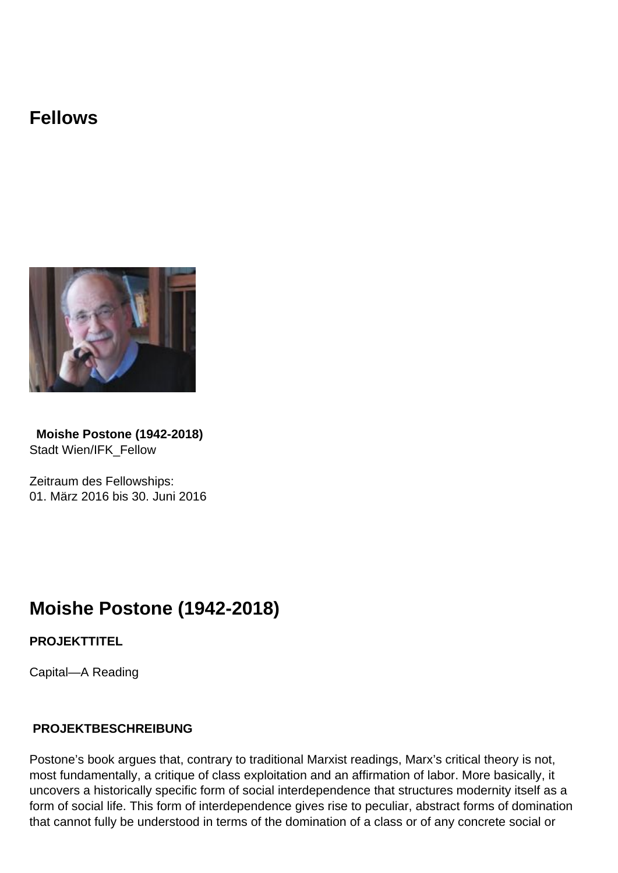## **Fellows**



**Moishe Postone (1942-2018)** Stadt Wien/IFK\_Fellow

Zeitraum des Fellowships: 01. März 2016 bis 30. Juni 2016

# **Moishe Postone (1942-2018)**

#### **PROJEKTTITEL**

Capital—A Reading

#### **PROJEKTBESCHREIBUNG**

Postone's book argues that, contrary to traditional Marxist readings, Marx's critical theory is not, most fundamentally, a critique of class exploitation and an affirmation of labor. More basically, it uncovers a historically specific form of social interdependence that structures modernity itself as a form of social life. This form of interdependence gives rise to peculiar, abstract forms of domination that cannot fully be understood in terms of the domination of a class or of any concrete social or